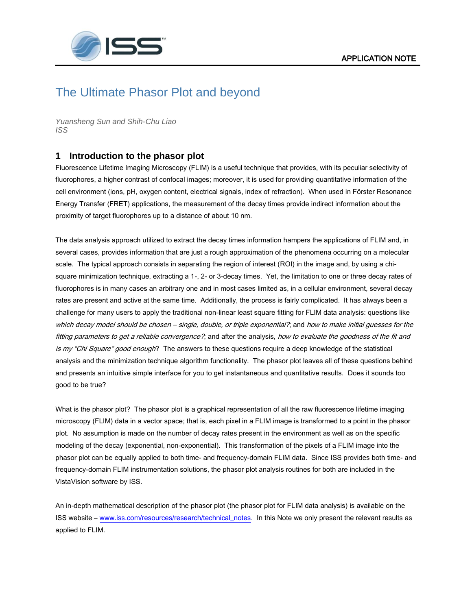

## The Ultimate Phasor Plot and beyond

*Yuansheng Sun and Shih-Chu Liao ISS*

## **1 Introduction to the phasor plot**

Fluorescence Lifetime Imaging Microscopy (FLIM) is a useful technique that provides, with its peculiar selectivity of fluorophores, a higher contrast of confocal images; moreover, it is used for providing quantitative information of the cell environment (ions, pH, oxygen content, electrical signals, index of refraction). When used in Förster Resonance Energy Transfer (FRET) applications, the measurement of the decay times provide indirect information about the proximity of target fluorophores up to a distance of about 10 nm.

The data analysis approach utilized to extract the decay times information hampers the applications of FLIM and, in several cases, provides information that are just a rough approximation of the phenomena occurring on a molecular scale. The typical approach consists in separating the region of interest (ROI) in the image and, by using a chisquare minimization technique, extracting a 1-, 2- or 3-decay times. Yet, the limitation to one or three decay rates of fluorophores is in many cases an arbitrary one and in most cases limited as, in a cellular environment, several decay rates are present and active at the same time. Additionally, the process is fairly complicated. It has always been a challenge for many users to apply the traditional non-linear least square fitting for FLIM data analysis: questions like which decay model should be chosen – single, double, or triple exponential?, and how to make initial guesses for the fitting parameters to get a reliable convergence?, and after the analysis, how to evaluate the goodness of the fit and is my "Chi Square" good enough? The answers to these questions require a deep knowledge of the statistical analysis and the minimization technique algorithm functionality. The phasor plot leaves all of these questions behind and presents an intuitive simple interface for you to get instantaneous and quantitative results. Does it sounds too good to be true?

What is the phasor plot? The phasor plot is a graphical representation of all the raw fluorescence lifetime imaging microscopy (FLIM) data in a vector space; that is, each pixel in a FLIM image is transformed to a point in the phasor plot. No assumption is made on the number of decay rates present in the environment as well as on the specific modeling of the decay (exponential, non-exponential). This transformation of the pixels of a FLIM image into the phasor plot can be equally applied to both time- and frequency-domain FLIM data. Since ISS provides both time- and frequency-domain FLIM instrumentation solutions, the phasor plot analysis routines for both are included in the VistaVision software by ISS.

An in-depth mathematical description of the phasor plot (the phasor plot for FLIM data analysis) is available on the ISS website – [www.iss.com/resources/research/technical\\_notes.](http://www.iss.com/resources/research/technical_notes) In this Note we only present the relevant results as applied to FLIM.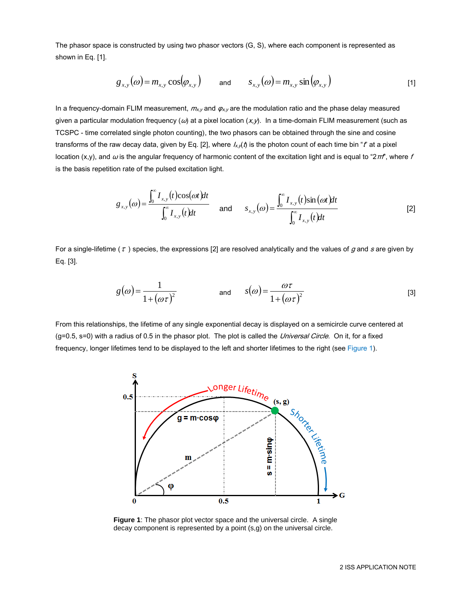The phasor space is constructed by using two phasor vectors (G, S), where each component is represented as shown in Eq. [1].

$$
g_{x,y}(\omega) = m_{x,y} \cos(\varphi_{x,y}) \quad \text{and} \quad s_{x,y}(\omega) = m_{x,y} \sin(\varphi_{x,y}) \quad (1)
$$

In a frequency-domain FLIM measurement,  $m_{x,y}$  and  $\varphi_{x,y}$  are the modulation ratio and the phase delay measured given a particular modulation frequency  $(\omega)$  at a pixel location  $(x, y)$ . In a time-domain FLIM measurement (such as TCSPC - time correlated single photon counting), the two phasors can be obtained through the sine and cosine transforms of the raw decay data, given by Eq. [2], where  $I_x$ ,  $\phi$  is the photon count of each time bin "t" at a pixel location (x,y), and  $\omega$  is the angular frequency of harmonic content of the excitation light and is equal to "2 $\pi r$ ", where f is the basis repetition rate of the pulsed excitation light.

$$
g_{x,y}(\omega) = \frac{\int_0^\infty I_{x,y}(t)\cos(\omega t)dt}{\int_0^\infty I_{x,y}(t)dt} \quad \text{and} \quad s_{x,y}(\omega) = \frac{\int_0^\infty I_{x,y}(t)\sin(\omega t)dt}{\int_0^\infty I_{x,y}(t)dt} \tag{2}
$$

For a single-lifetime (  $\tau$  ) species, the expressions [2] are resolved analytically and the values of  $g$  and  $s$  are given by Eq. [3].

$$
g(\omega) = \frac{1}{1 + (\omega \tau)^2} \qquad \text{and} \qquad s(\omega) = \frac{\omega \tau}{1 + (\omega \tau)^2} \tag{3}
$$

From this relationships, the lifetime of any single exponential decay is displayed on a semicircle curve centered at (g=0.5, s=0) with a radius of 0.5 in the phasor plot. The plot is called the Universal Circle. On it, for a fixed frequency, longer lifetimes tend to be displayed to the left and shorter lifetimes to the right (see Figure 1).



**Figure 1**: The phasor plot vector space and the universal circle. A single decay component is represented by a point (s,g) on the universal circle.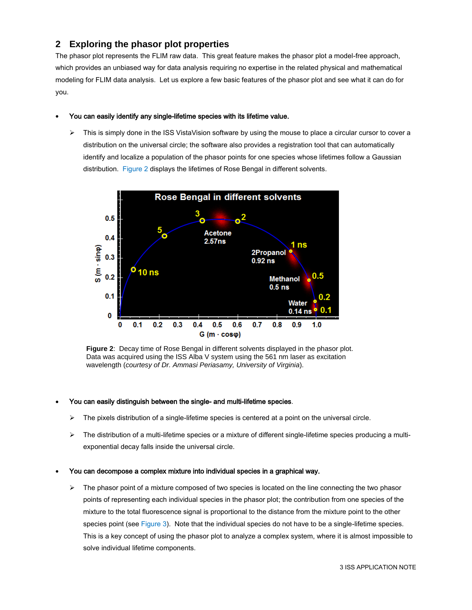## **2 Exploring the phasor plot properties**

The phasor plot represents the FLIM raw data. This great feature makes the phasor plot a model-free approach, which provides an unbiased way for data analysis requiring no expertise in the related physical and mathematical modeling for FLIM data analysis. Let us explore a few basic features of the phasor plot and see what it can do for you.

#### You can easily identify any single-lifetime species with its lifetime value.

 $\triangleright$  This is simply done in the ISS VistaVision software by using the mouse to place a circular cursor to cover a distribution on the universal circle; the software also provides a registration tool that can automatically identify and localize a population of the phasor points for one species whose lifetimes follow a Gaussian distribution. Figure 2 displays the lifetimes of Rose Bengal in different solvents.



**Figure 2**: Decay time of Rose Bengal in different solvents displayed in the phasor plot. Data was acquired using the ISS Alba V system using the 561 nm laser as excitation wavelength (*courtesy of Dr. Ammasi Periasamy, University of Virginia*).

#### You can easily distinguish between the single- and multi-lifetime species.

- $\triangleright$  The pixels distribution of a single-lifetime species is centered at a point on the universal circle.
- $\triangleright$  The distribution of a multi-lifetime species or a mixture of different single-lifetime species producing a multiexponential decay falls inside the universal circle.

#### You can decompose a complex mixture into individual species in a graphical way.

 $\triangleright$  The phasor point of a mixture composed of two species is located on the line connecting the two phasor points of representing each individual species in the phasor plot; the contribution from one species of the mixture to the total fluorescence signal is proportional to the distance from the mixture point to the other species point (see Figure 3). Note that the individual species do not have to be a single-lifetime species. This is a key concept of using the phasor plot to analyze a complex system, where it is almost impossible to solve individual lifetime components.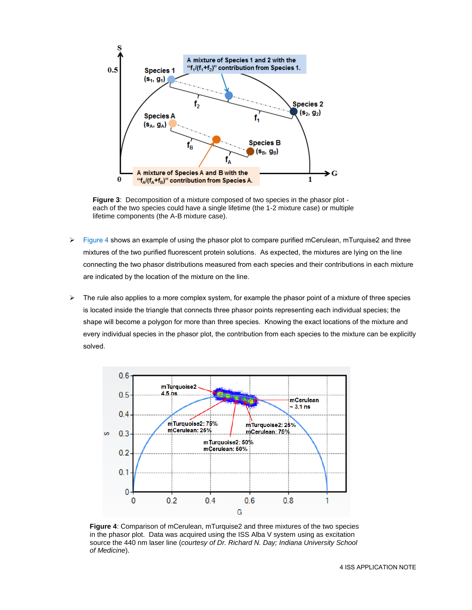

**Figure 3**: Decomposition of a mixture composed of two species in the phasor plot each of the two species could have a single lifetime (the 1-2 mixture case) or multiple lifetime components (the A-B mixture case).

- $\triangleright$  Figure 4 shows an example of using the phasor plot to compare purified mCerulean, mTurquise2 and three mixtures of the two purified fluorescent protein solutions. As expected, the mixtures are lying on the line connecting the two phasor distributions measured from each species and their contributions in each mixture are indicated by the location of the mixture on the line.
- $\triangleright$  The rule also applies to a more complex system, for example the phasor point of a mixture of three species is located inside the triangle that connects three phasor points representing each individual species; the shape will become a polygon for more than three species. Knowing the exact locations of the mixture and every individual species in the phasor plot, the contribution from each species to the mixture can be explicitly solved.



**Figure 4**: Comparison of mCerulean, mTurquise2 and three mixtures of the two species in the phasor plot. Data was acquired using the ISS Alba V system using as excitation source the 440 nm laser line (*courtesy of Dr. Richard N. Day; Indiana University School of Medicine*).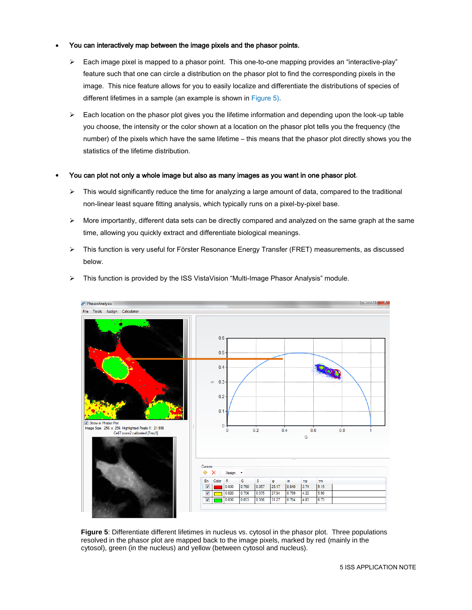#### You can interactively map between the image pixels and the phasor points.

- $\triangleright$  Each image pixel is mapped to a phasor point. This one-to-one mapping provides an "interactive-play" feature such that one can circle a distribution on the phasor plot to find the corresponding pixels in the image. This nice feature allows for you to easily localize and differentiate the distributions of species of different lifetimes in a sample (an example is shown in Figure 5).
- $\triangleright$  Each location on the phasor plot gives you the lifetime information and depending upon the look-up table you choose, the intensity or the color shown at a location on the phasor plot tells you the frequency (the number) of the pixels which have the same lifetime – this means that the phasor plot directly shows you the statistics of the lifetime distribution.

#### You can plot not only a whole image but also as many images as you want in one phasor plot.

- $\triangleright$  This would significantly reduce the time for analyzing a large amount of data, compared to the traditional non-linear least square fitting analysis, which typically runs on a pixel-by-pixel base.
- $\triangleright$  More importantly, different data sets can be directly compared and analyzed on the same graph at the same time, allowing you quickly extract and differentiate biological meanings.
- This function is very useful for Förster Resonance Energy Transfer (FRET) measurements, as discussed below.



 $\triangleright$  This function is provided by the ISS VistaVision "Multi-Image Phasor Analysis" module.

**Figure 5**: Differentiate different lifetimes in nucleus vs. cytosol in the phasor plot. Three populations resolved in the phasor plot are mapped back to the image pixels, marked by red (mainly in the cytosol), green (in the nucleus) and yellow (between cytosol and nucleus).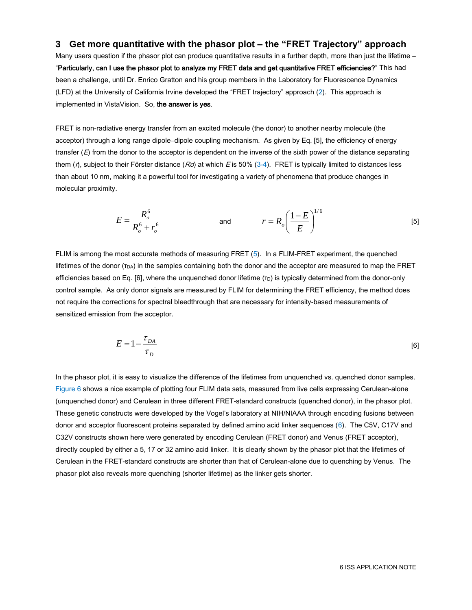## **3 Get more quantitative with the phasor plot – the "FRET Trajectory" approach**

Many users question if the phasor plot can produce quantitative results in a further depth, more than just the lifetime – "Particularly, can I use the phasor plot to analyze my FRET data and get quantitative FRET efficiencies?" This had been a challenge, until Dr. Enrico Gratton and his group members in the Laboratory for Fluorescence Dynamics (LFD) at the University of California Irvine developed the "FRET trajectory" approach (2). This approach is implemented in VistaVision. So, the answer is yes.

FRET is non-radiative energy transfer from an excited molecule (the donor) to another nearby molecule (the acceptor) through a long range dipole–dipole coupling mechanism. As given by Eq. [5], the efficiency of energy transfer  $(E)$  from the donor to the acceptor is dependent on the inverse of the sixth power of the distance separating them ( $\eta$ , subject to their Förster distance ( $Ro$ ) at which E is 50% (3-4). FRET is typically limited to distances less than about 10 nm, making it a powerful tool for investigating a variety of phenomena that produce changes in molecular proximity.

$$
E = \frac{R_o^6}{R_o^6 + r_o^6}
$$
 and 
$$
r = R_o \left(\frac{1 - E}{E}\right)^{1/6}
$$
 [5]

FLIM is among the most accurate methods of measuring FRET (5). In a FLIM-FRET experiment, the quenched lifetimes of the donor  $(T<sub>DA</sub>)$  in the samples containing both the donor and the acceptor are measured to map the FRET efficiencies based on Eq. [6], where the unquenched donor lifetime  $(\tau_D)$  is typically determined from the donor-only control sample. As only donor signals are measured by FLIM for determining the FRET efficiency, the method does not require the corrections for spectral bleedthrough that are necessary for intensity-based measurements of sensitized emission from the acceptor.

$$
E = 1 - \frac{\tau_{DA}}{\tau_D} \tag{6}
$$

In the phasor plot, it is easy to visualize the difference of the lifetimes from unquenched vs. quenched donor samples. Figure 6 shows a nice example of plotting four FLIM data sets, measured from live cells expressing Cerulean-alone (unquenched donor) and Cerulean in three different FRET-standard constructs (quenched donor), in the phasor plot. These genetic constructs were developed by the Vogel's laboratory at NIH/NIAAA through encoding fusions between donor and acceptor fluorescent proteins separated by defined amino acid linker sequences (6). The C5V, C17V and C32V constructs shown here were generated by encoding Cerulean (FRET donor) and Venus (FRET acceptor), directly coupled by either a 5, 17 or 32 amino acid linker. It is clearly shown by the phasor plot that the lifetimes of Cerulean in the FRET-standard constructs are shorter than that of Cerulean-alone due to quenching by Venus. The phasor plot also reveals more quenching (shorter lifetime) as the linker gets shorter.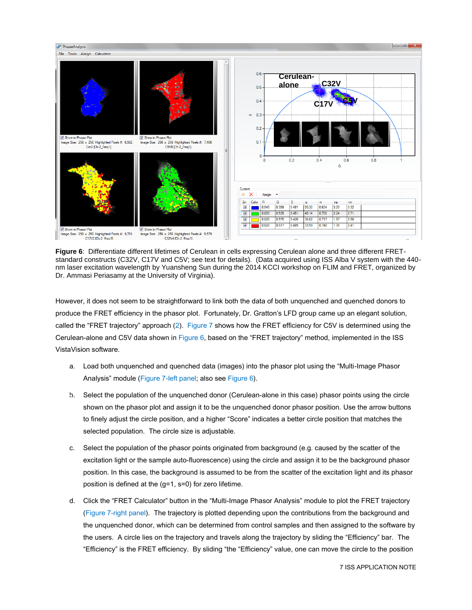

**Figure 6**: Differentiate different lifetimes of Cerulean in cells expressing Cerulean alone and three different FRETstandard constructs (C32V, C17V and C5V; see text for details). (Data acquired using ISS Alba V system with the 440 nm laser excitation wavelength by Yuansheng Sun during the 2014 KCCI workshop on FLIM and FRET, organized by Dr. Ammasi Periasamy at the University of Virginia).

However, it does not seem to be straightforward to link both the data of both unquenched and quenched donors to produce the FRET efficiency in the phasor plot. Fortunately, Dr. Gratton's LFD group came up an elegant solution, called the "FRET trajectory" approach (2). Figure 7 shows how the FRET efficiency for C5V is determined using the Cerulean-alone and C5V data shown in Figure 6, based on the "FRET trajectory" method, implemented in the ISS VistaVision software.

- a. Load both unquenched and quenched data (images) into the phasor plot using the "Multi-Image Phasor Analysis" module (Figure 7-left panel; also see Figure 6).
- b. Select the population of the unquenched donor (Cerulean-alone in this case) phasor points using the circle shown on the phasor plot and assign it to be the unquenched donor phasor position. Use the arrow buttons to finely adjust the circle position, and a higher "Score" indicates a better circle position that matches the selected population. The circle size is adjustable.
	- c. Select the population of the phasor points originated from background (e.g. caused by the scatter of the excitation light or the sample auto-fluorescence) using the circle and assign it to be the background phasor position. In this case, the background is assumed to be from the scatter of the excitation light and its phasor position is defined at the (g=1, s=0) for zero lifetime.
	- d. Click the "FRET Calculator" button in the "Multi-Image Phasor Analysis" module to plot the FRET trajectory (Figure 7-right panel). The trajectory is plotted depending upon the contributions from the background and the unquenched donor, which can be determined from control samples and then assigned to the software by the users. A circle lies on the trajectory and travels along the trajectory by sliding the "Efficiency" bar. The "Efficiency" is the FRET efficiency. By sliding "the "Efficiency" value, one can move the circle to the position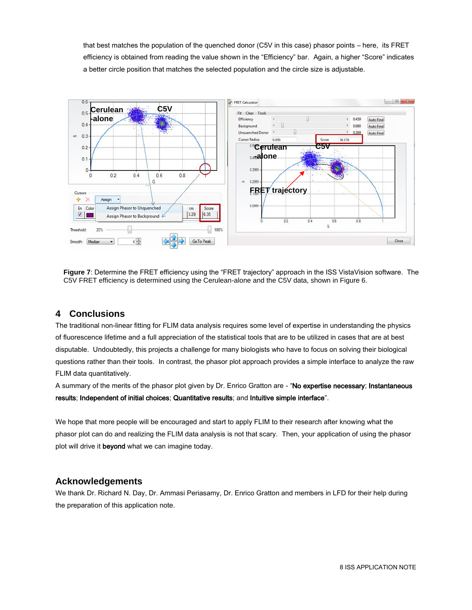that best matches the population of the quenched donor (C5V in this case) phasor points – here, its FRET efficiency is obtained from reading the value shown in the "Efficiency" bar. Again, a higher "Score" indicates a better circle position that matches the selected population and the circle size is adjustable.



**Figure 7**: Determine the FRET efficiency using the "FRET trajectory" approach in the ISS VistaVision software. The C5V FRET efficiency is determined using the Cerulean-alone and the C5V data, shown in Figure 6.

## **4 Conclusions**

The traditional non-linear fitting for FLIM data analysis requires some level of expertise in understanding the physics of fluorescence lifetime and a full appreciation of the statistical tools that are to be utilized in cases that are at best disputable. Undoubtedly, this projects a challenge for many biologists who have to focus on solving their biological questions rather than their tools. In contrast, the phasor plot approach provides a simple interface to analyze the raw FLIM data quantitatively.

A summary of the merits of the phasor plot given by Dr. Enrico Gratton are - "No expertise necessary; Instantaneous results; Independent of initial choices; Quantitative results; and Intuitive simple interface".

We hope that more people will be encouraged and start to apply FLIM to their research after knowing what the phasor plot can do and realizing the FLIM data analysis is not that scary. Then, your application of using the phasor plot will drive it beyond what we can imagine today.

## **Acknowledgements**

We thank Dr. Richard N. Day, Dr. Ammasi Periasamy, Dr. Enrico Gratton and members in LFD for their help during the preparation of this application note.